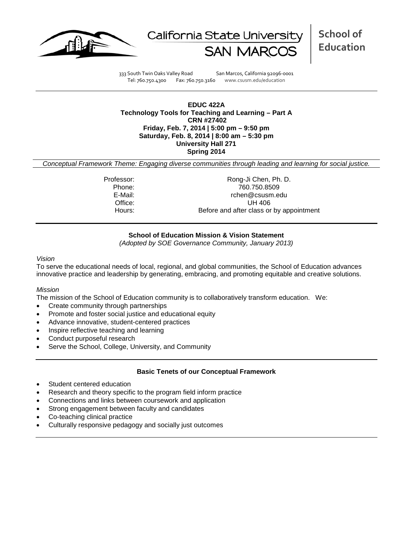



**School of Education**

333 South Twin Oaks Valley Road San Marcos, California 92096-0001 Tel: 760.750.4300 Fax: 760.750.3160 www.csusm.edu/education

### **EDUC 422A Technology Tools for Teaching and Learning – Part A CRN #27402 Friday, Feb. 7, 2014 | 5:00 pm – 9:50 pm Saturday, Feb. 8, 2014 | 8:00 am – 5:30 pm University Hall 271 Spring 2014**

*Conceptual Framework Theme: Engaging diverse communities through leading and learning for social justice.*

Professor: Rong-Ji Chen, Ph. D. Phone: 760.750.8509 rchen@csusm.edu Office: UH 406 Hours: Before and after class or by appointment

## **School of Education Mission & Vision Statement**

*(Adopted by SOE Governance Community, January 2013)*

#### *Vision*

To serve the educational needs of local, regional, and global communities, the School of Education advances innovative practice and leadership by generating, embracing, and promoting equitable and creative solutions.

### *Mission*

The mission of the School of Education community is to collaboratively transform education. We:

- Create community through partnerships
- Promote and foster social justice and educational equity
- Advance innovative, student-centered practices
- Inspire reflective teaching and learning
- Conduct purposeful research
- Serve the School, College, University, and Community

### **Basic Tenets of our Conceptual Framework**

- Student centered education
- Research and theory specific to the program field inform practice
- Connections and links between coursework and application
- Strong engagement between faculty and candidates
- Co-teaching clinical practice
- Culturally responsive pedagogy and socially just outcomes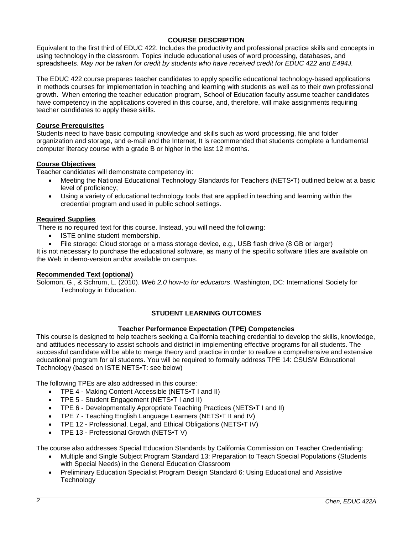## **COURSE DESCRIPTION**

Equivalent to the first third of EDUC 422. Includes the productivity and professional practice skills and concepts in using technology in the classroom. Topics include educational uses of word processing, databases, and spreadsheets. *May not be taken for credit by students who have received credit for EDUC 422 and E494J.*

The EDUC 422 course prepares teacher candidates to apply specific educational technology-based applications in methods courses for implementation in teaching and learning with students as well as to their own professional growth. When entering the teacher education program, School of Education faculty assume teacher candidates have competency in the applications covered in this course, and, therefore, will make assignments requiring teacher candidates to apply these skills.

## **Course Prerequisites**

Students need to have basic computing knowledge and skills such as word processing, file and folder organization and storage, and e-mail and the Internet, It is recommended that students complete a fundamental computer literacy course with a grade B or higher in the last 12 months.

## **Course Objectives**

Teacher candidates will demonstrate competency in:

- Meeting the National Educational Technology Standards for Teachers (NETS•T) outlined below at a basic level of proficiency;
- Using a variety of educational technology tools that are applied in teaching and learning within the credential program and used in public school settings.

### **Required Supplies**

There is no required text for this course. Instead, you will need the following:

- ISTE online student membership.
- File storage: Cloud storage or a mass storage device, e.g., USB flash drive (8 GB or larger)

It is not necessary to purchase the educational software, as many of the specific software titles are available on the Web in demo-version and/or available on campus.

### **Recommended Text (optional)**

Solomon, G., & Schrum, L. (2010). *Web 2.0 how-to for educators*. Washington, DC: International Society for Technology in Education.

## **STUDENT LEARNING OUTCOMES**

### **Teacher Performance Expectation (TPE) Competencies**

This course is designed to help teachers seeking a California teaching credential to develop the skills, knowledge, and attitudes necessary to assist schools and district in implementing effective programs for all students. The successful candidate will be able to merge theory and practice in order to realize a comprehensive and extensive educational program for all students. You will be required to formally address TPE 14: CSUSM Educational Technology (based on ISTE NETS•T: see below)

The following TPEs are also addressed in this course:

- TPE 4 Making Content Accessible (NETS•T I and II)
- TPE 5 Student Engagement (NETS•T I and II)
- TPE 6 Developmentally Appropriate Teaching Practices (NETS•T I and II)
- TPE 7 Teaching English Language Learners (NETS•T II and IV)
- TPE 12 Professional, Legal, and Ethical Obligations (NETS•T IV)
- TPE 13 Professional Growth (NETS•T V)

The course also addresses Special Education Standards by California Commission on Teacher Credentialing:

- Multiple and Single Subject Program Standard 13: Preparation to Teach Special Populations (Students with Special Needs) in the General Education Classroom
- Preliminary Education Specialist Program Design Standard 6: Using Educational and Assistive **Technology**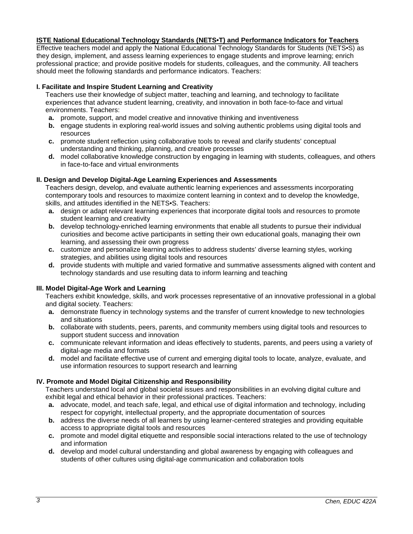## **ISTE National Educational Technology Standards (NETS•T) and Performance Indicators for Teachers**

Effective teachers model and apply the National Educational Technology Standards for Students (NETS•S) as they design, implement, and assess learning experiences to engage students and improve learning; enrich professional practice; and provide positive models for students, colleagues, and the community. All teachers should meet the following standards and performance indicators. Teachers:

## **I. Facilitate and Inspire Student Learning and Creativity**

Teachers use their knowledge of subject matter, teaching and learning, and technology to facilitate experiences that advance student learning, creativity, and innovation in both face-to-face and virtual environments. Teachers:

- **a.** promote, support, and model creative and innovative thinking and inventiveness
- **b.** engage students in exploring real-world issues and solving authentic problems using digital tools and resources
- **c.** promote student reflection using collaborative tools to reveal and clarify students' conceptual understanding and thinking, planning, and creative processes
- **d.** model collaborative knowledge construction by engaging in learning with students, colleagues, and others in face-to-face and virtual environments

## **II. Design and Develop Digital-Age Learning Experiences and Assessments**

Teachers design, develop, and evaluate authentic learning experiences and assessments incorporating contemporary tools and resources to maximize content learning in context and to develop the knowledge, skills, and attitudes identified in the NETS•S. Teachers:

- **a.** design or adapt relevant learning experiences that incorporate digital tools and resources to promote student learning and creativity
- **b.** develop technology-enriched learning environments that enable all students to pursue their individual curiosities and become active participants in setting their own educational goals, managing their own learning, and assessing their own progress
- **c.** customize and personalize learning activities to address students' diverse learning styles, working strategies, and abilities using digital tools and resources
- **d.** provide students with multiple and varied formative and summative assessments aligned with content and technology standards and use resulting data to inform learning and teaching

### **III. Model Digital-Age Work and Learning**

Teachers exhibit knowledge, skills, and work processes representative of an innovative professional in a global and digital society. Teachers:

- **a.** demonstrate fluency in technology systems and the transfer of current knowledge to new technologies and situations
- **b.** collaborate with students, peers, parents, and community members using digital tools and resources to support student success and innovation
- **c.** communicate relevant information and ideas effectively to students, parents, and peers using a variety of digital-age media and formats
- **d.** model and facilitate effective use of current and emerging digital tools to locate, analyze, evaluate, and use information resources to support research and learning

### **IV. Promote and Model Digital Citizenship and Responsibility**

Teachers understand local and global societal issues and responsibilities in an evolving digital culture and exhibit legal and ethical behavior in their professional practices. Teachers:

- **a.** advocate, model, and teach safe, legal, and ethical use of digital information and technology, including respect for copyright, intellectual property, and the appropriate documentation of sources
- **b.** address the diverse needs of all learners by using learner-centered strategies and providing equitable access to appropriate digital tools and resources
- **c.** promote and model digital etiquette and responsible social interactions related to the use of technology and information
- **d.** develop and model cultural understanding and global awareness by engaging with colleagues and students of other cultures using digital-age communication and collaboration tools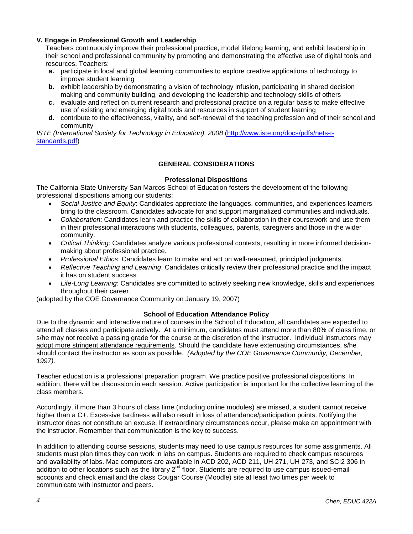## **V. Engage in Professional Growth and Leadership**

Teachers continuously improve their professional practice, model lifelong learning, and exhibit leadership in their school and professional community by promoting and demonstrating the effective use of digital tools and resources. Teachers:

- **a.** participate in local and global learning communities to explore creative applications of technology to improve student learning
- **b.** exhibit leadership by demonstrating a vision of technology infusion, participating in shared decision making and community building, and developing the leadership and technology skills of others
- **c.** evaluate and reflect on current research and professional practice on a regular basis to make effective use of existing and emerging digital tools and resources in support of student learning
- **d.** contribute to the effectiveness, vitality, and self-renewal of the teaching profession and of their school and community

*ISTE (International Society for Technology in Education), 2008* [\(http://www.iste.org/docs/pdfs/nets-t](http://www.iste.org/docs/pdfs/nets-t-standards.pdf)[standards.pdf\)](http://www.iste.org/docs/pdfs/nets-t-standards.pdf)

## **GENERAL CONSIDERATIONS**

## **Professional Dispositions**

The California State University San Marcos School of Education fosters the development of the following professional dispositions among our students:

- *Social Justice and Equity*: Candidates appreciate the languages, communities, and experiences learners bring to the classroom. Candidates advocate for and support marginalized communities and individuals.
- *Collaboration*: Candidates learn and practice the skills of collaboration in their coursework and use them in their professional interactions with students, colleagues, parents, caregivers and those in the wider community.
- *Critical Thinking*: Candidates analyze various professional contexts, resulting in more informed decisionmaking about professional practice.
- *Professional Ethics*: Candidates learn to make and act on well-reasoned, principled judgments.
- *Reflective Teaching and Learning*: Candidates critically review their professional practice and the impact it has on student success.
- *Life-Long Learning*: Candidates are committed to actively seeking new knowledge, skills and experiences throughout their career.

(adopted by the COE Governance Community on January 19, 2007)

### **School of Education Attendance Policy**

Due to the dynamic and interactive nature of courses in the School of Education, all candidates are expected to attend all classes and participate actively. At a minimum, candidates must attend more than 80% of class time, or s/he may not receive a passing grade for the course at the discretion of the instructor. Individual instructors may adopt more stringent attendance requirements. Should the candidate have extenuating circumstances, s/he should contact the instructor as soon as possible. *(Adopted by the COE Governance Community, December, 1997).*

Teacher education is a professional preparation program. We practice positive professional dispositions. In addition, there will be discussion in each session. Active participation is important for the collective learning of the class members.

Accordingly, if more than 3 hours of class time (including online modules) are missed, a student cannot receive higher than a C+. Excessive tardiness will also result in loss of attendance/participation points. Notifying the instructor does not constitute an excuse. If extraordinary circumstances occur, please make an appointment with the instructor. Remember that communication is the key to success.

In addition to attending course sessions, students may need to use campus resources for some assignments. All students must plan times they can work in labs on campus. Students are required to check campus resources and availability of labs. Mac computers are available in ACD 202, ACD 211, UH 271, UH 273, and SCI2 306 in addition to other locations such as the library 2<sup>nd</sup> floor. Students are required to use campus issued-email accounts and check email and the class Cougar Course (Moodle) site at least two times per week to communicate with instructor and peers.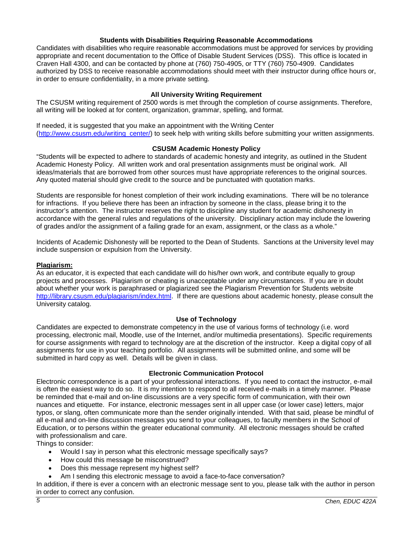### **Students with Disabilities Requiring Reasonable Accommodations**

Candidates with disabilities who require reasonable accommodations must be approved for services by providing appropriate and recent documentation to the Office of Disable Student Services (DSS). This office is located in Craven Hall 4300, and can be contacted by phone at (760) 750-4905, or TTY (760) 750-4909. Candidates authorized by DSS to receive reasonable accommodations should meet with their instructor during office hours or, in order to ensure confidentiality, in a more private setting.

## **All University Writing Requirement**

The CSUSM writing requirement of 2500 words is met through the completion of course assignments. Therefore, all writing will be looked at for content, organization, grammar, spelling, and format.

If needed, it is suggested that you make an appointment with the Writing Center [\(http://www.csusm.edu/writing\\_center/\)](http://www.csusm.edu/writing_center/) to seek help with writing skills before submitting your written assignments.

## **CSUSM Academic Honesty Policy**

"Students will be expected to adhere to standards of academic honesty and integrity, as outlined in the Student Academic Honesty Policy. All written work and oral presentation assignments must be original work. All ideas/materials that are borrowed from other sources must have appropriate references to the original sources. Any quoted material should give credit to the source and be punctuated with quotation marks.

Students are responsible for honest completion of their work including examinations. There will be no tolerance for infractions. If you believe there has been an infraction by someone in the class, please bring it to the instructor's attention. The instructor reserves the right to discipline any student for academic dishonesty in accordance with the general rules and regulations of the university. Disciplinary action may include the lowering of grades and/or the assignment of a failing grade for an exam, assignment, or the class as a whole."

Incidents of Academic Dishonesty will be reported to the Dean of Students. Sanctions at the University level may include suspension or expulsion from the University.

### **Plagiarism:**

As an educator, it is expected that each candidate will do his/her own work, and contribute equally to group projects and processes. Plagiarism or cheating is unacceptable under any circumstances. If you are in doubt about whether your work is paraphrased or plagiarized see the Plagiarism Prevention for Students website [http://library.csusm.edu/plagiarism/index.html.](http://library.csusm.edu/plagiarism/index.html) If there are questions about academic honesty, please consult the University catalog.

### **Use of Technology**

Candidates are expected to demonstrate competency in the use of various forms of technology (i.e. word processing, electronic mail, Moodle, use of the Internet, and/or multimedia presentations). Specific requirements for course assignments with regard to technology are at the discretion of the instructor. Keep a digital copy of all assignments for use in your teaching portfolio. All assignments will be submitted online, and some will be submitted in hard copy as well. Details will be given in class.

### **Electronic Communication Protocol**

Electronic correspondence is a part of your professional interactions. If you need to contact the instructor, e-mail is often the easiest way to do so. It is my intention to respond to all received e-mails in a timely manner. Please be reminded that e-mail and on-line discussions are a very specific form of communication, with their own nuances and etiquette. For instance, electronic messages sent in all upper case (or lower case) letters, major typos, or slang, often communicate more than the sender originally intended. With that said, please be mindful of all e-mail and on-line discussion messages you send to your colleagues, to faculty members in the School of Education, or to persons within the greater educational community. All electronic messages should be crafted with professionalism and care.

Things to consider:

- Would I say in person what this electronic message specifically says?
- How could this message be misconstrued?
- Does this message represent my highest self?
- Am I sending this electronic message to avoid a face-to-face conversation?

In addition, if there is ever a concern with an electronic message sent to you, please talk with the author in person in order to correct any confusion.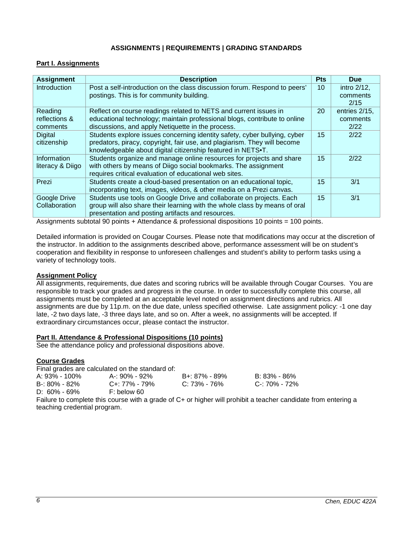## **ASSIGNMENTS | REQUIREMENTS | GRADING STANDARDS**

# **Part I. Assignments**

| <b>Assignment</b>                                                                                                                                                                                                                  | <b>Description</b>                                                         | <b>Pts</b> | <b>Due</b>    |  |
|------------------------------------------------------------------------------------------------------------------------------------------------------------------------------------------------------------------------------------|----------------------------------------------------------------------------|------------|---------------|--|
| Introduction                                                                                                                                                                                                                       | Post a self-introduction on the class discussion forum. Respond to peers'  | 10         | intro 2/12,   |  |
|                                                                                                                                                                                                                                    | postings. This is for community building.                                  |            | comments      |  |
|                                                                                                                                                                                                                                    |                                                                            |            | 2/15          |  |
| Reading                                                                                                                                                                                                                            | Reflect on course readings related to NETS and current issues in           | 20         | entries 2/15, |  |
| reflections &                                                                                                                                                                                                                      | educational technology; maintain professional blogs, contribute to online  |            | comments      |  |
| comments                                                                                                                                                                                                                           | discussions, and apply Netiquette in the process.                          |            | 2/22          |  |
| <b>Digital</b>                                                                                                                                                                                                                     | Students explore issues concerning identity safety, cyber bullying, cyber  | 15         | 2/22          |  |
| citizenship                                                                                                                                                                                                                        | predators, piracy, copyright, fair use, and plagiarism. They will become   |            |               |  |
|                                                                                                                                                                                                                                    | knowledgeable about digital citizenship featured in NETS.T.                |            |               |  |
| Information                                                                                                                                                                                                                        | Students organize and manage online resources for projects and share       | 15         | 2/22          |  |
| literacy & Diigo                                                                                                                                                                                                                   | with others by means of Diigo social bookmarks. The assignment             |            |               |  |
|                                                                                                                                                                                                                                    | requires critical evaluation of educational web sites.                     |            |               |  |
| Prezi                                                                                                                                                                                                                              | Students create a cloud-based presentation on an educational topic,        | 15         | 3/1           |  |
|                                                                                                                                                                                                                                    | incorporating text, images, videos, & other media on a Prezi canvas.       |            |               |  |
| Google Drive                                                                                                                                                                                                                       | Students use tools on Google Drive and collaborate on projects. Each       | 15         | 3/1           |  |
| Collaboration                                                                                                                                                                                                                      | group will also share their learning with the whole class by means of oral |            |               |  |
|                                                                                                                                                                                                                                    | presentation and posting artifacts and resources.                          |            |               |  |
| $\mathcal{L}$ , and the second contract and the second contract of the second contract of the second contract of the second contract of the second contract of the second contract of the second contract of the second contract o |                                                                            |            |               |  |

Assignments subtotal 90 points + Attendance & professional dispositions 10 points = 100 points.

Detailed information is provided on Cougar Courses. Please note that modifications may occur at the discretion of the instructor. In addition to the assignments described above, performance assessment will be on student's cooperation and flexibility in response to unforeseen challenges and student's ability to perform tasks using a variety of technology tools.

### **Assignment Policy**

All assignments, requirements, due dates and scoring rubrics will be available through Cougar Courses. You are responsible to track your grades and progress in the course. In order to successfully complete this course, all assignments must be completed at an acceptable level noted on assignment directions and rubrics. All assignments are due by 11p.m. on the due date, unless specified otherwise. Late assignment policy: -1 one day late, -2 two days late, -3 three days late, and so on. After a week, no assignments will be accepted. If extraordinary circumstances occur, please contact the instructor.

## **Part II. Attendance & Professional Dispositions (10 points)**

See the attendance policy and professional dispositions above.

### **Course Grades**

Final grades are calculated on the standard of:

| A: 93% - 100%     | A-: 90% - 92% | B+: 87% - 89% | B: 83% - 86%  |
|-------------------|---------------|---------------|---------------|
| $B - 80\% - 82\%$ | C+: 77% - 79% | C: 73% - 76%  | C-: 70% - 72% |
| $D: 60\% - 69\%$  | F: below 60   |               |               |

Failure to complete this course with a grade of C+ or higher will prohibit a teacher candidate from entering a teaching credential program.